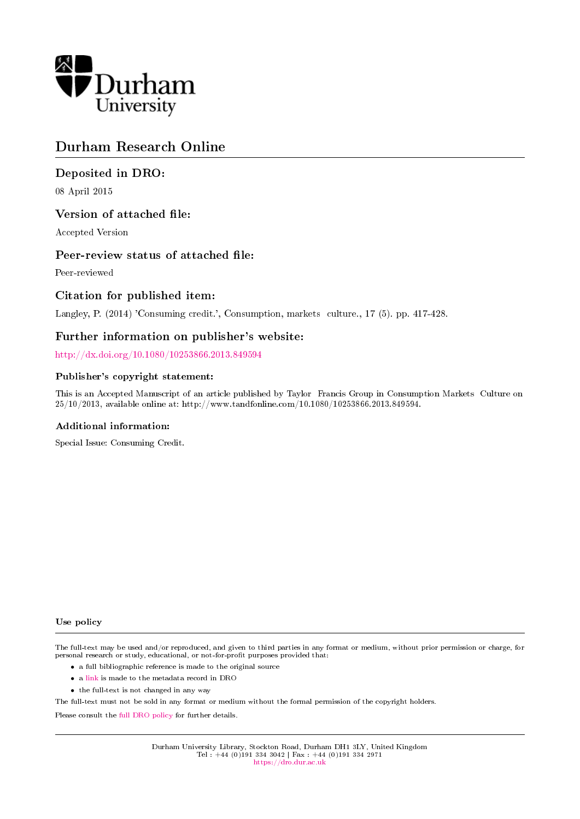

# Durham Research Online

# Deposited in DRO:

08 April 2015

# Version of attached file:

Accepted Version

# Peer-review status of attached file:

Peer-reviewed

# Citation for published item:

Langley, P. (2014) 'Consuming credit.', Consumption, markets culture., 17 (5). pp. 417-428.

# Further information on publisher's website:

<http://dx.doi.org/10.1080/10253866.2013.849594>

### Publisher's copyright statement:

This is an Accepted Manuscript of an article published by Taylor Francis Group in Consumption Markets Culture on 25/10/2013, available online at: http://www.tandfonline.com/10.1080/10253866.2013.849594.

#### Additional information:

Special Issue: Consuming Credit.

#### Use policy

The full-text may be used and/or reproduced, and given to third parties in any format or medium, without prior permission or charge, for personal research or study, educational, or not-for-profit purposes provided that:

- a full bibliographic reference is made to the original source
- a [link](http://dro.dur.ac.uk/15016/) is made to the metadata record in DRO
- the full-text is not changed in any way

The full-text must not be sold in any format or medium without the formal permission of the copyright holders.

Please consult the [full DRO policy](https://dro.dur.ac.uk/policies/usepolicy.pdf) for further details.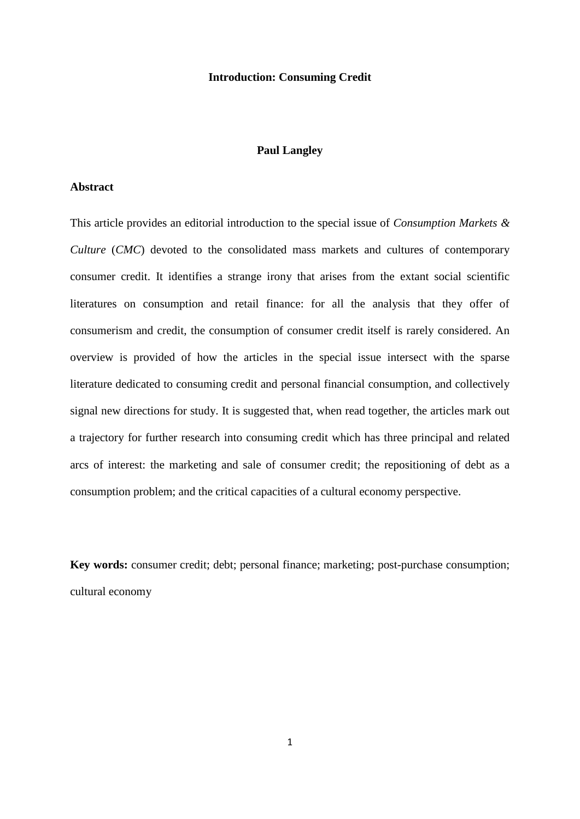### **Introduction: Consuming Credit**

### **Paul Langley**

# **Abstract**

This article provides an editorial introduction to the special issue of *Consumption Markets & Culture* (*CMC*) devoted to the consolidated mass markets and cultures of contemporary consumer credit. It identifies a strange irony that arises from the extant social scientific literatures on consumption and retail finance: for all the analysis that they offer of consumerism and credit, the consumption of consumer credit itself is rarely considered. An overview is provided of how the articles in the special issue intersect with the sparse literature dedicated to consuming credit and personal financial consumption, and collectively signal new directions for study. It is suggested that, when read together, the articles mark out a trajectory for further research into consuming credit which has three principal and related arcs of interest: the marketing and sale of consumer credit; the repositioning of debt as a consumption problem; and the critical capacities of a cultural economy perspective.

**Key words:** consumer credit; debt; personal finance; marketing; post-purchase consumption; cultural economy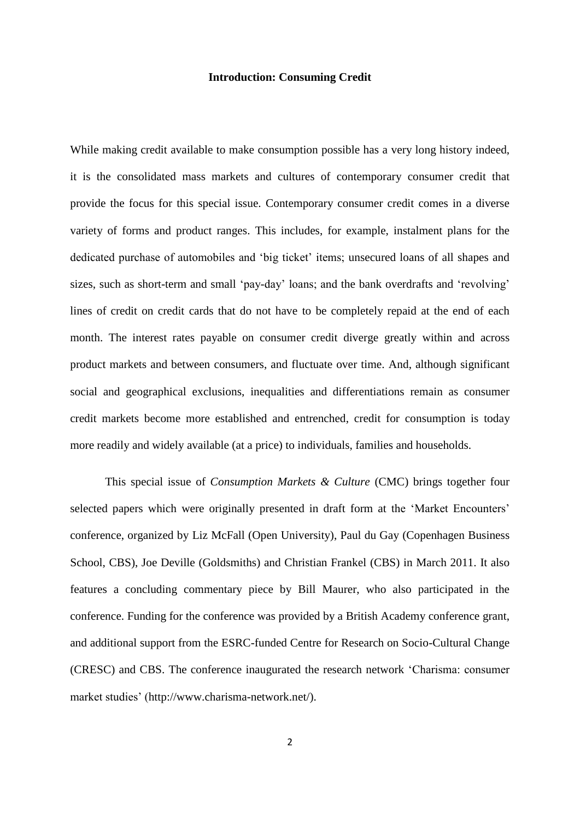### **Introduction: Consuming Credit**

While making credit available to make consumption possible has a very long history indeed, it is the consolidated mass markets and cultures of contemporary consumer credit that provide the focus for this special issue. Contemporary consumer credit comes in a diverse variety of forms and product ranges. This includes, for example, instalment plans for the dedicated purchase of automobiles and 'big ticket' items; unsecured loans of all shapes and sizes, such as short-term and small 'pay-day' loans; and the bank overdrafts and 'revolving' lines of credit on credit cards that do not have to be completely repaid at the end of each month. The interest rates payable on consumer credit diverge greatly within and across product markets and between consumers, and fluctuate over time. And, although significant social and geographical exclusions, inequalities and differentiations remain as consumer credit markets become more established and entrenched, credit for consumption is today more readily and widely available (at a price) to individuals, families and households.

This special issue of *Consumption Markets & Culture* (CMC) brings together four selected papers which were originally presented in draft form at the 'Market Encounters' conference, organized by Liz McFall (Open University), Paul du Gay (Copenhagen Business School, CBS), Joe Deville (Goldsmiths) and Christian Frankel (CBS) in March 2011. It also features a concluding commentary piece by Bill Maurer, who also participated in the conference. Funding for the conference was provided by a British Academy conference grant, and additional support from the ESRC-funded Centre for Research on Socio-Cultural Change (CRESC) and CBS. The conference inaugurated the research network 'Charisma: consumer market studies' (http://www.charisma-network.net/).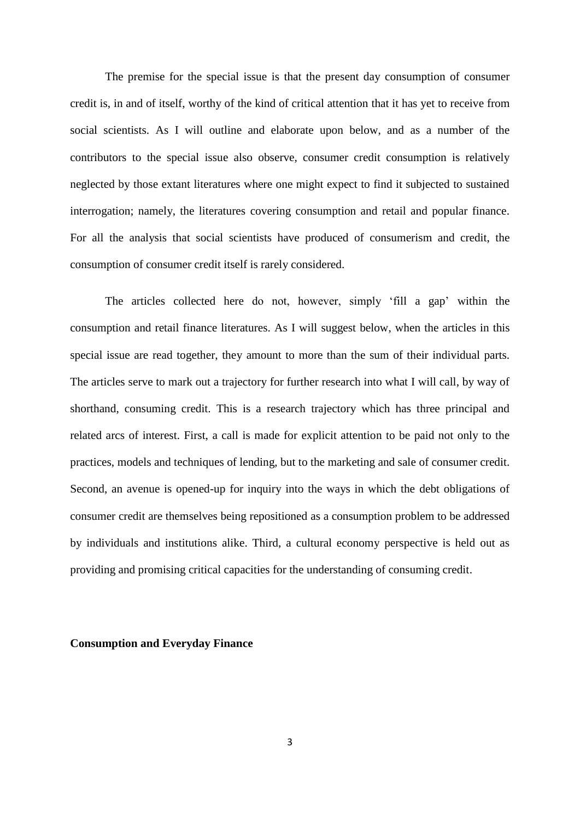The premise for the special issue is that the present day consumption of consumer credit is, in and of itself, worthy of the kind of critical attention that it has yet to receive from social scientists. As I will outline and elaborate upon below, and as a number of the contributors to the special issue also observe, consumer credit consumption is relatively neglected by those extant literatures where one might expect to find it subjected to sustained interrogation; namely, the literatures covering consumption and retail and popular finance. For all the analysis that social scientists have produced of consumerism and credit, the consumption of consumer credit itself is rarely considered.

The articles collected here do not, however, simply 'fill a gap' within the consumption and retail finance literatures. As I will suggest below, when the articles in this special issue are read together, they amount to more than the sum of their individual parts. The articles serve to mark out a trajectory for further research into what I will call, by way of shorthand, consuming credit. This is a research trajectory which has three principal and related arcs of interest. First, a call is made for explicit attention to be paid not only to the practices, models and techniques of lending, but to the marketing and sale of consumer credit. Second, an avenue is opened-up for inquiry into the ways in which the debt obligations of consumer credit are themselves being repositioned as a consumption problem to be addressed by individuals and institutions alike. Third, a cultural economy perspective is held out as providing and promising critical capacities for the understanding of consuming credit.

### **Consumption and Everyday Finance**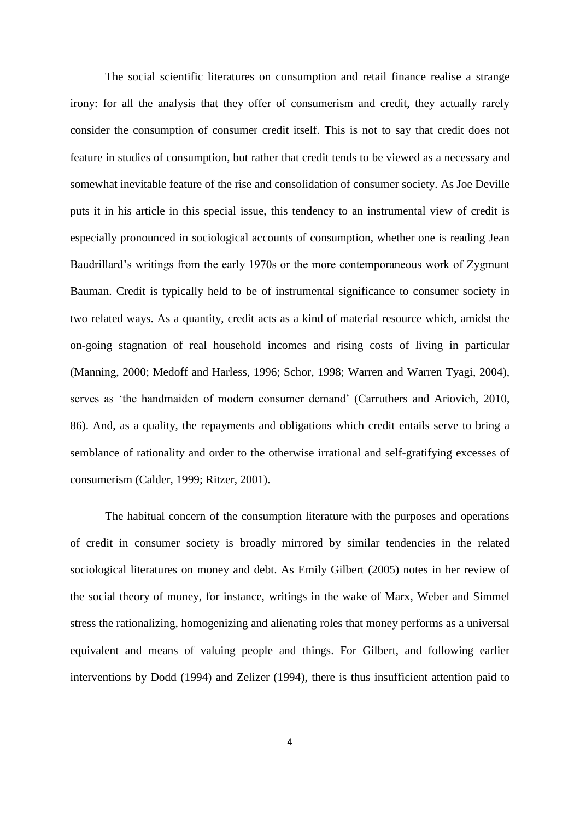The social scientific literatures on consumption and retail finance realise a strange irony: for all the analysis that they offer of consumerism and credit, they actually rarely consider the consumption of consumer credit itself. This is not to say that credit does not feature in studies of consumption, but rather that credit tends to be viewed as a necessary and somewhat inevitable feature of the rise and consolidation of consumer society. As Joe Deville puts it in his article in this special issue, this tendency to an instrumental view of credit is especially pronounced in sociological accounts of consumption, whether one is reading Jean Baudrillard's writings from the early 1970s or the more contemporaneous work of Zygmunt Bauman. Credit is typically held to be of instrumental significance to consumer society in two related ways. As a quantity, credit acts as a kind of material resource which, amidst the on-going stagnation of real household incomes and rising costs of living in particular (Manning, 2000; Medoff and Harless, 1996; Schor, 1998; Warren and Warren Tyagi, 2004), serves as 'the handmaiden of modern consumer demand' (Carruthers and Ariovich, 2010, 86). And, as a quality, the repayments and obligations which credit entails serve to bring a semblance of rationality and order to the otherwise irrational and self-gratifying excesses of consumerism (Calder, 1999; Ritzer, 2001).

The habitual concern of the consumption literature with the purposes and operations of credit in consumer society is broadly mirrored by similar tendencies in the related sociological literatures on money and debt. As Emily Gilbert (2005) notes in her review of the social theory of money, for instance, writings in the wake of Marx, Weber and Simmel stress the rationalizing, homogenizing and alienating roles that money performs as a universal equivalent and means of valuing people and things. For Gilbert, and following earlier interventions by Dodd (1994) and Zelizer (1994), there is thus insufficient attention paid to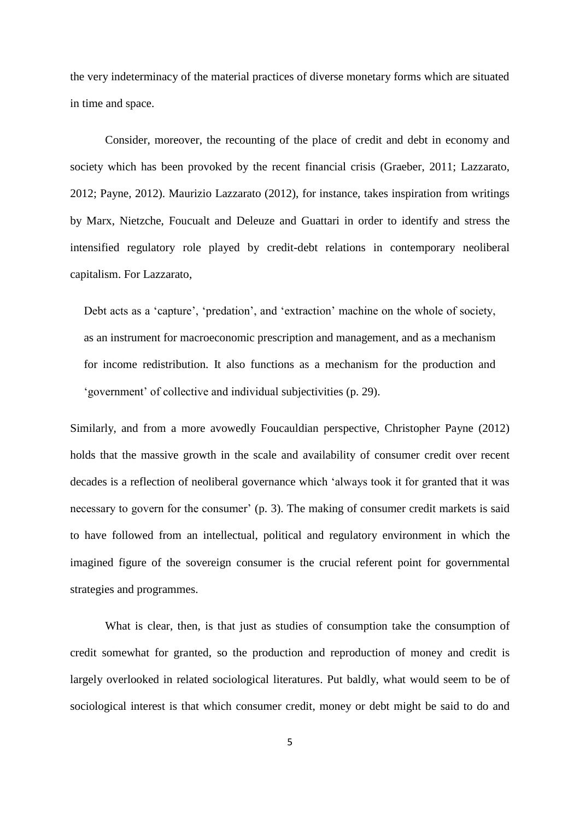the very indeterminacy of the material practices of diverse monetary forms which are situated in time and space.

Consider, moreover, the recounting of the place of credit and debt in economy and society which has been provoked by the recent financial crisis (Graeber, 2011; Lazzarato, 2012; Payne, 2012). Maurizio Lazzarato (2012), for instance, takes inspiration from writings by Marx, Nietzche, Foucualt and Deleuze and Guattari in order to identify and stress the intensified regulatory role played by credit-debt relations in contemporary neoliberal capitalism. For Lazzarato,

Debt acts as a 'capture', 'predation', and 'extraction' machine on the whole of society, as an instrument for macroeconomic prescription and management, and as a mechanism for income redistribution. It also functions as a mechanism for the production and 'government' of collective and individual subjectivities (p. 29).

Similarly, and from a more avowedly Foucauldian perspective, Christopher Payne (2012) holds that the massive growth in the scale and availability of consumer credit over recent decades is a reflection of neoliberal governance which 'always took it for granted that it was necessary to govern for the consumer' (p. 3). The making of consumer credit markets is said to have followed from an intellectual, political and regulatory environment in which the imagined figure of the sovereign consumer is the crucial referent point for governmental strategies and programmes.

What is clear, then, is that just as studies of consumption take the consumption of credit somewhat for granted, so the production and reproduction of money and credit is largely overlooked in related sociological literatures. Put baldly, what would seem to be of sociological interest is that which consumer credit, money or debt might be said to do and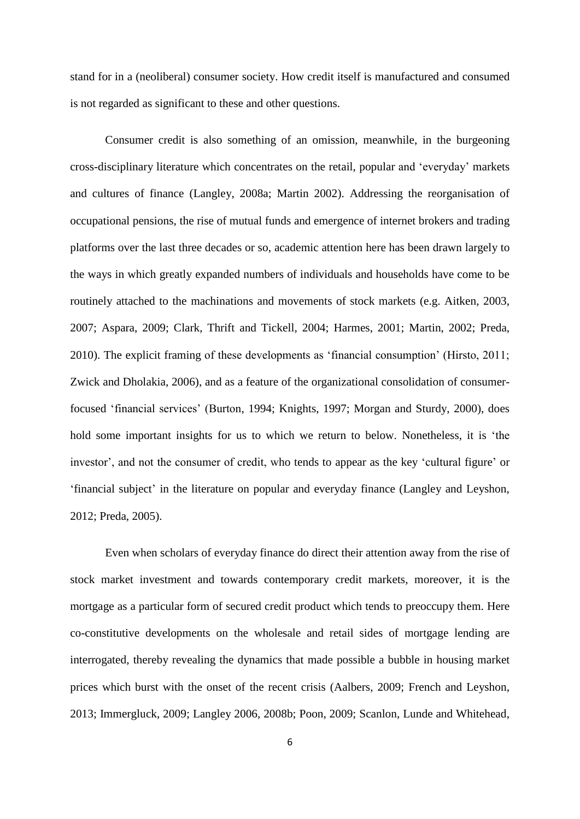stand for in a (neoliberal) consumer society. How credit itself is manufactured and consumed is not regarded as significant to these and other questions.

Consumer credit is also something of an omission, meanwhile, in the burgeoning cross-disciplinary literature which concentrates on the retail, popular and 'everyday' markets and cultures of finance (Langley, 2008a; Martin 2002). Addressing the reorganisation of occupational pensions, the rise of mutual funds and emergence of internet brokers and trading platforms over the last three decades or so, academic attention here has been drawn largely to the ways in which greatly expanded numbers of individuals and households have come to be routinely attached to the machinations and movements of stock markets (e.g. Aitken, 2003, 2007; Aspara, 2009; Clark, Thrift and Tickell, 2004; Harmes, 2001; Martin, 2002; Preda, 2010). The explicit framing of these developments as 'financial consumption' (Hirsto, 2011; Zwick and Dholakia, 2006), and as a feature of the organizational consolidation of consumerfocused 'financial services' (Burton, 1994; Knights, 1997; Morgan and Sturdy, 2000), does hold some important insights for us to which we return to below. Nonetheless, it is 'the investor', and not the consumer of credit, who tends to appear as the key 'cultural figure' or 'financial subject' in the literature on popular and everyday finance (Langley and Leyshon, 2012; Preda, 2005).

Even when scholars of everyday finance do direct their attention away from the rise of stock market investment and towards contemporary credit markets, moreover, it is the mortgage as a particular form of secured credit product which tends to preoccupy them. Here co-constitutive developments on the wholesale and retail sides of mortgage lending are interrogated, thereby revealing the dynamics that made possible a bubble in housing market prices which burst with the onset of the recent crisis (Aalbers, 2009; French and Leyshon, 2013; Immergluck, 2009; Langley 2006, 2008b; Poon, 2009; Scanlon, Lunde and Whitehead,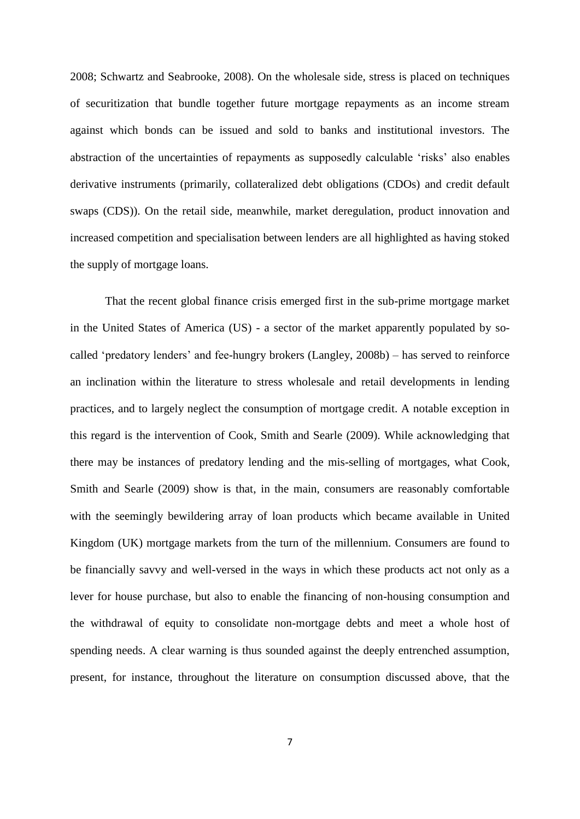2008; Schwartz and Seabrooke, 2008). On the wholesale side, stress is placed on techniques of securitization that bundle together future mortgage repayments as an income stream against which bonds can be issued and sold to banks and institutional investors. The abstraction of the uncertainties of repayments as supposedly calculable 'risks' also enables derivative instruments (primarily, collateralized debt obligations (CDOs) and credit default swaps (CDS)). On the retail side, meanwhile, market deregulation, product innovation and increased competition and specialisation between lenders are all highlighted as having stoked the supply of mortgage loans.

That the recent global finance crisis emerged first in the sub-prime mortgage market in the United States of America (US) - a sector of the market apparently populated by socalled 'predatory lenders' and fee-hungry brokers (Langley, 2008b) – has served to reinforce an inclination within the literature to stress wholesale and retail developments in lending practices, and to largely neglect the consumption of mortgage credit. A notable exception in this regard is the intervention of Cook, Smith and Searle (2009). While acknowledging that there may be instances of predatory lending and the mis-selling of mortgages, what Cook, Smith and Searle (2009) show is that, in the main, consumers are reasonably comfortable with the seemingly bewildering array of loan products which became available in United Kingdom (UK) mortgage markets from the turn of the millennium. Consumers are found to be financially savvy and well-versed in the ways in which these products act not only as a lever for house purchase, but also to enable the financing of non-housing consumption and the withdrawal of equity to consolidate non-mortgage debts and meet a whole host of spending needs. A clear warning is thus sounded against the deeply entrenched assumption, present, for instance, throughout the literature on consumption discussed above, that the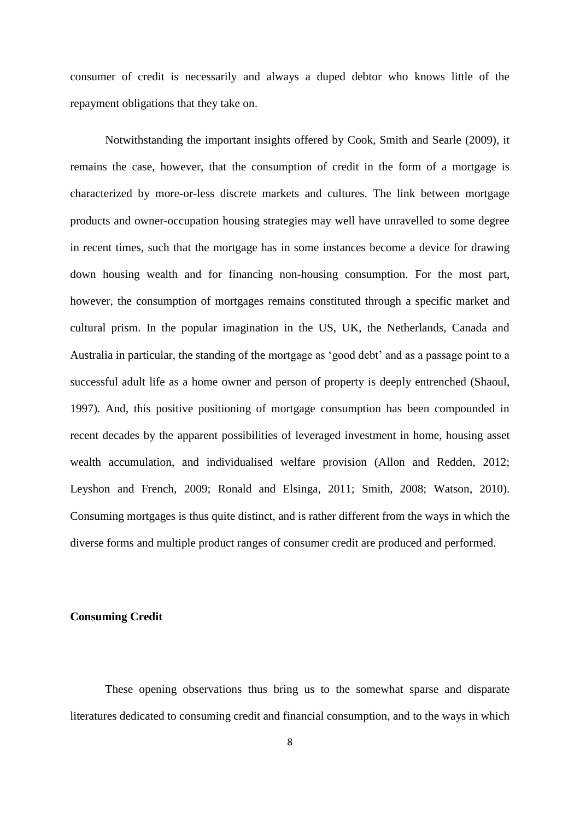consumer of credit is necessarily and always a duped debtor who knows little of the repayment obligations that they take on.

Notwithstanding the important insights offered by Cook, Smith and Searle (2009), it remains the case, however, that the consumption of credit in the form of a mortgage is characterized by more-or-less discrete markets and cultures. The link between mortgage products and owner-occupation housing strategies may well have unravelled to some degree in recent times, such that the mortgage has in some instances become a device for drawing down housing wealth and for financing non-housing consumption. For the most part, however, the consumption of mortgages remains constituted through a specific market and cultural prism. In the popular imagination in the US, UK, the Netherlands, Canada and Australia in particular, the standing of the mortgage as 'good debt' and as a passage point to a successful adult life as a home owner and person of property is deeply entrenched (Shaoul, 1997). And, this positive positioning of mortgage consumption has been compounded in recent decades by the apparent possibilities of leveraged investment in home, housing asset wealth accumulation, and individualised welfare provision (Allon and Redden, 2012; Leyshon and French, 2009; Ronald and Elsinga, 2011; Smith, 2008; Watson, 2010). Consuming mortgages is thus quite distinct, and is rather different from the ways in which the diverse forms and multiple product ranges of consumer credit are produced and performed.

### **Consuming Credit**

These opening observations thus bring us to the somewhat sparse and disparate literatures dedicated to consuming credit and financial consumption, and to the ways in which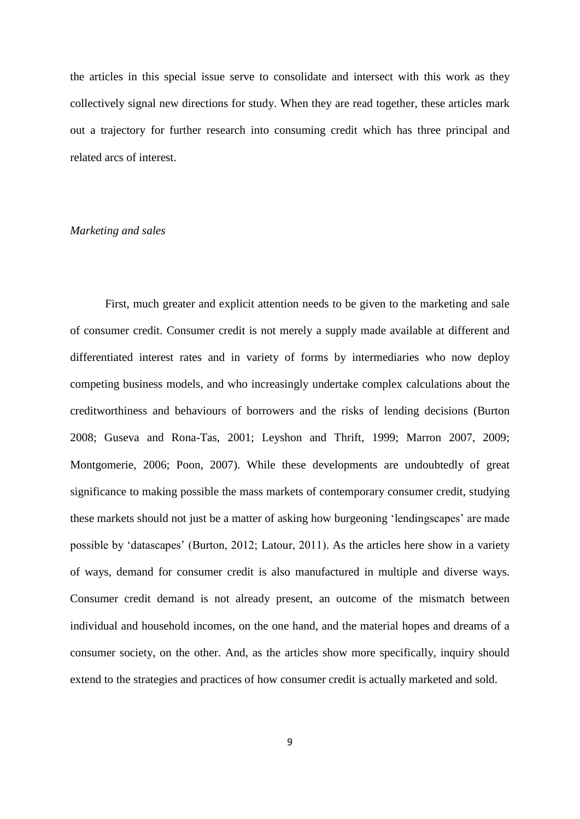the articles in this special issue serve to consolidate and intersect with this work as they collectively signal new directions for study. When they are read together, these articles mark out a trajectory for further research into consuming credit which has three principal and related arcs of interest.

## *Marketing and sales*

First, much greater and explicit attention needs to be given to the marketing and sale of consumer credit. Consumer credit is not merely a supply made available at different and differentiated interest rates and in variety of forms by intermediaries who now deploy competing business models, and who increasingly undertake complex calculations about the creditworthiness and behaviours of borrowers and the risks of lending decisions (Burton 2008; Guseva and Rona-Tas, 2001; Leyshon and Thrift, 1999; Marron 2007, 2009; Montgomerie, 2006; Poon, 2007). While these developments are undoubtedly of great significance to making possible the mass markets of contemporary consumer credit, studying these markets should not just be a matter of asking how burgeoning 'lendingscapes' are made possible by 'datascapes' (Burton, 2012; Latour, 2011). As the articles here show in a variety of ways, demand for consumer credit is also manufactured in multiple and diverse ways. Consumer credit demand is not already present, an outcome of the mismatch between individual and household incomes, on the one hand, and the material hopes and dreams of a consumer society, on the other. And, as the articles show more specifically, inquiry should extend to the strategies and practices of how consumer credit is actually marketed and sold.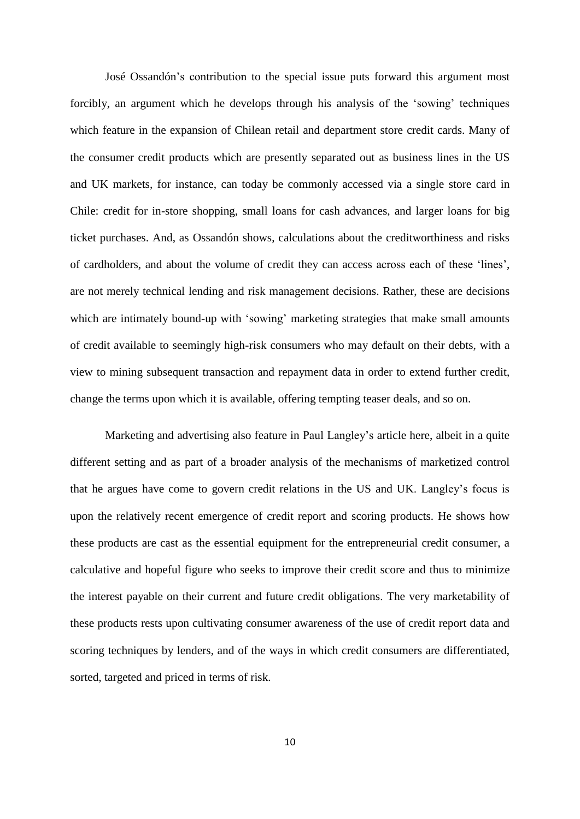José Ossandón's contribution to the special issue puts forward this argument most forcibly, an argument which he develops through his analysis of the 'sowing' techniques which feature in the expansion of Chilean retail and department store credit cards. Many of the consumer credit products which are presently separated out as business lines in the US and UK markets, for instance, can today be commonly accessed via a single store card in Chile: credit for in-store shopping, small loans for cash advances, and larger loans for big ticket purchases. And, as Ossandón shows, calculations about the creditworthiness and risks of cardholders, and about the volume of credit they can access across each of these 'lines', are not merely technical lending and risk management decisions. Rather, these are decisions which are intimately bound-up with 'sowing' marketing strategies that make small amounts of credit available to seemingly high-risk consumers who may default on their debts, with a view to mining subsequent transaction and repayment data in order to extend further credit, change the terms upon which it is available, offering tempting teaser deals, and so on.

Marketing and advertising also feature in Paul Langley's article here, albeit in a quite different setting and as part of a broader analysis of the mechanisms of marketized control that he argues have come to govern credit relations in the US and UK. Langley's focus is upon the relatively recent emergence of credit report and scoring products. He shows how these products are cast as the essential equipment for the entrepreneurial credit consumer, a calculative and hopeful figure who seeks to improve their credit score and thus to minimize the interest payable on their current and future credit obligations. The very marketability of these products rests upon cultivating consumer awareness of the use of credit report data and scoring techniques by lenders, and of the ways in which credit consumers are differentiated, sorted, targeted and priced in terms of risk.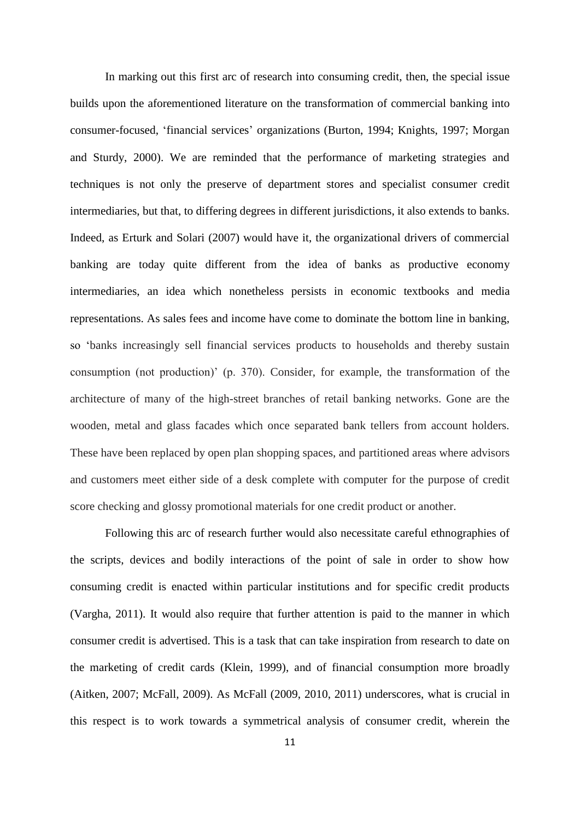In marking out this first arc of research into consuming credit, then, the special issue builds upon the aforementioned literature on the transformation of commercial banking into consumer-focused, 'financial services' organizations (Burton, 1994; Knights, 1997; Morgan and Sturdy, 2000). We are reminded that the performance of marketing strategies and techniques is not only the preserve of department stores and specialist consumer credit intermediaries, but that, to differing degrees in different jurisdictions, it also extends to banks. Indeed, as Erturk and Solari (2007) would have it, the organizational drivers of commercial banking are today quite different from the idea of banks as productive economy intermediaries, an idea which nonetheless persists in economic textbooks and media representations. As sales fees and income have come to dominate the bottom line in banking, so 'banks increasingly sell financial services products to households and thereby sustain consumption (not production)' (p. 370). Consider, for example, the transformation of the architecture of many of the high-street branches of retail banking networks. Gone are the wooden, metal and glass facades which once separated bank tellers from account holders. These have been replaced by open plan shopping spaces, and partitioned areas where advisors and customers meet either side of a desk complete with computer for the purpose of credit score checking and glossy promotional materials for one credit product or another.

Following this arc of research further would also necessitate careful ethnographies of the scripts, devices and bodily interactions of the point of sale in order to show how consuming credit is enacted within particular institutions and for specific credit products (Vargha, 2011). It would also require that further attention is paid to the manner in which consumer credit is advertised. This is a task that can take inspiration from research to date on the marketing of credit cards (Klein, 1999), and of financial consumption more broadly (Aitken, 2007; McFall, 2009). As McFall (2009, 2010, 2011) underscores, what is crucial in this respect is to work towards a symmetrical analysis of consumer credit, wherein the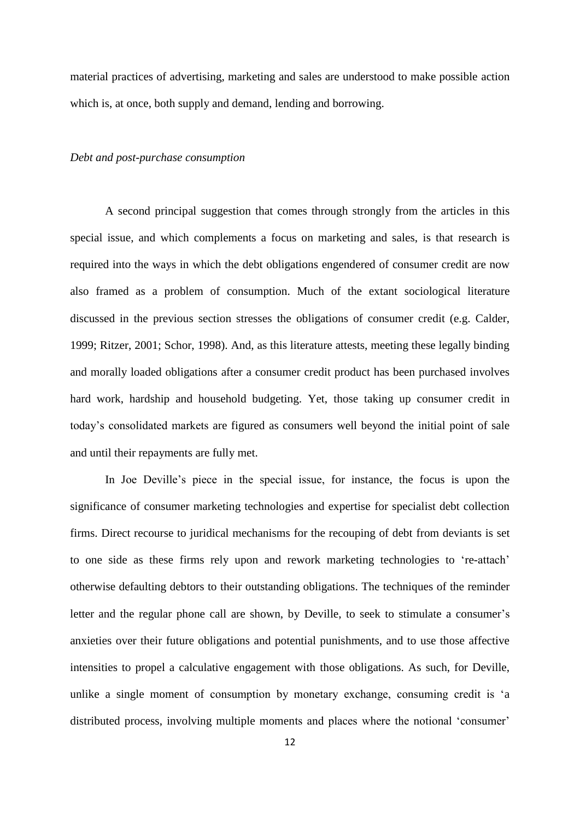material practices of advertising, marketing and sales are understood to make possible action which is, at once, both supply and demand, lending and borrowing.

### *Debt and post-purchase consumption*

A second principal suggestion that comes through strongly from the articles in this special issue, and which complements a focus on marketing and sales, is that research is required into the ways in which the debt obligations engendered of consumer credit are now also framed as a problem of consumption. Much of the extant sociological literature discussed in the previous section stresses the obligations of consumer credit (e.g. Calder, 1999; Ritzer, 2001; Schor, 1998). And, as this literature attests, meeting these legally binding and morally loaded obligations after a consumer credit product has been purchased involves hard work, hardship and household budgeting. Yet, those taking up consumer credit in today's consolidated markets are figured as consumers well beyond the initial point of sale and until their repayments are fully met.

In Joe Deville's piece in the special issue, for instance, the focus is upon the significance of consumer marketing technologies and expertise for specialist debt collection firms. Direct recourse to juridical mechanisms for the recouping of debt from deviants is set to one side as these firms rely upon and rework marketing technologies to 're-attach' otherwise defaulting debtors to their outstanding obligations. The techniques of the reminder letter and the regular phone call are shown, by Deville, to seek to stimulate a consumer's anxieties over their future obligations and potential punishments, and to use those affective intensities to propel a calculative engagement with those obligations. As such, for Deville, unlike a single moment of consumption by monetary exchange, consuming credit is 'a distributed process, involving multiple moments and places where the notional 'consumer'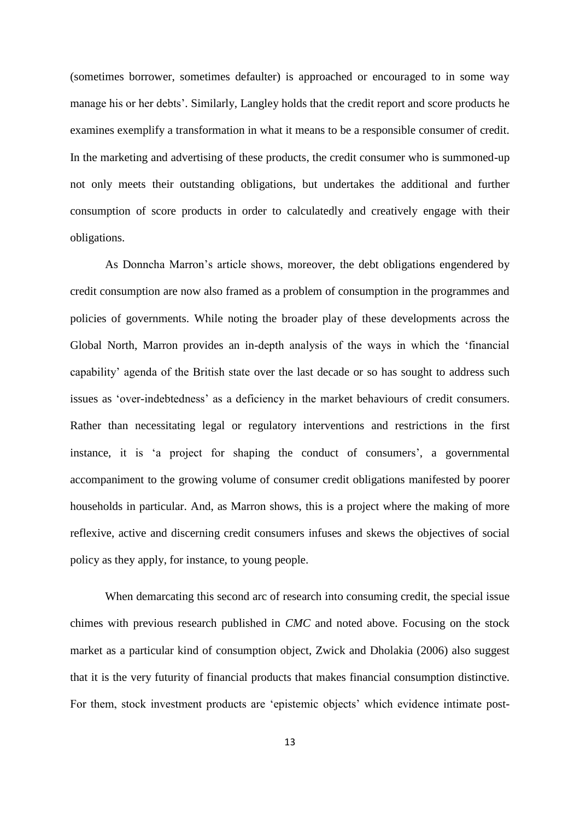(sometimes borrower, sometimes defaulter) is approached or encouraged to in some way manage his or her debts'. Similarly, Langley holds that the credit report and score products he examines exemplify a transformation in what it means to be a responsible consumer of credit. In the marketing and advertising of these products, the credit consumer who is summoned-up not only meets their outstanding obligations, but undertakes the additional and further consumption of score products in order to calculatedly and creatively engage with their obligations.

As Donncha Marron's article shows, moreover, the debt obligations engendered by credit consumption are now also framed as a problem of consumption in the programmes and policies of governments. While noting the broader play of these developments across the Global North, Marron provides an in-depth analysis of the ways in which the 'financial capability' agenda of the British state over the last decade or so has sought to address such issues as 'over-indebtedness' as a deficiency in the market behaviours of credit consumers. Rather than necessitating legal or regulatory interventions and restrictions in the first instance, it is 'a project for shaping the conduct of consumers', a governmental accompaniment to the growing volume of consumer credit obligations manifested by poorer households in particular. And, as Marron shows, this is a project where the making of more reflexive, active and discerning credit consumers infuses and skews the objectives of social policy as they apply, for instance, to young people.

When demarcating this second arc of research into consuming credit, the special issue chimes with previous research published in *CMC* and noted above. Focusing on the stock market as a particular kind of consumption object, Zwick and Dholakia (2006) also suggest that it is the very futurity of financial products that makes financial consumption distinctive. For them, stock investment products are 'epistemic objects' which evidence intimate post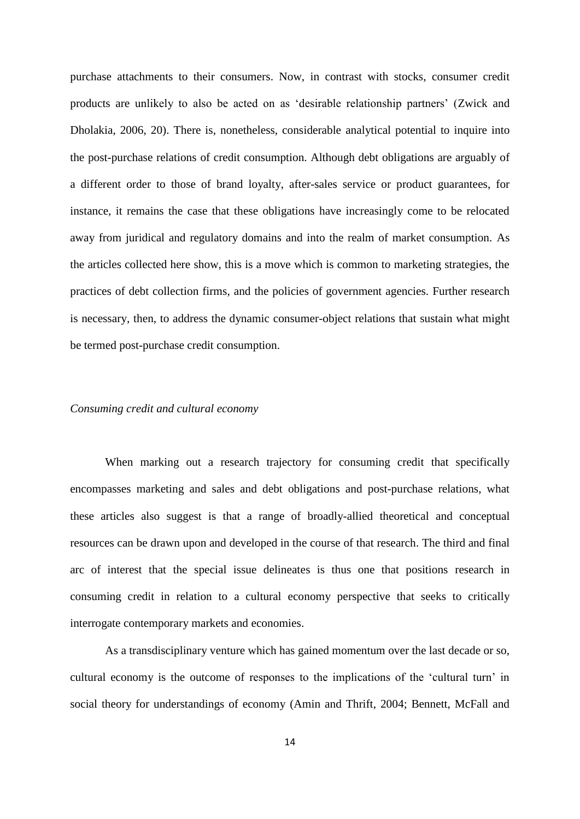purchase attachments to their consumers. Now, in contrast with stocks, consumer credit products are unlikely to also be acted on as 'desirable relationship partners' (Zwick and Dholakia, 2006, 20). There is, nonetheless, considerable analytical potential to inquire into the post-purchase relations of credit consumption. Although debt obligations are arguably of a different order to those of brand loyalty, after-sales service or product guarantees, for instance, it remains the case that these obligations have increasingly come to be relocated away from juridical and regulatory domains and into the realm of market consumption. As the articles collected here show, this is a move which is common to marketing strategies, the practices of debt collection firms, and the policies of government agencies. Further research is necessary, then, to address the dynamic consumer-object relations that sustain what might be termed post-purchase credit consumption.

## *Consuming credit and cultural economy*

When marking out a research trajectory for consuming credit that specifically encompasses marketing and sales and debt obligations and post-purchase relations, what these articles also suggest is that a range of broadly-allied theoretical and conceptual resources can be drawn upon and developed in the course of that research. The third and final arc of interest that the special issue delineates is thus one that positions research in consuming credit in relation to a cultural economy perspective that seeks to critically interrogate contemporary markets and economies.

As a transdisciplinary venture which has gained momentum over the last decade or so, cultural economy is the outcome of responses to the implications of the 'cultural turn' in social theory for understandings of economy (Amin and Thrift, 2004; Bennett, McFall and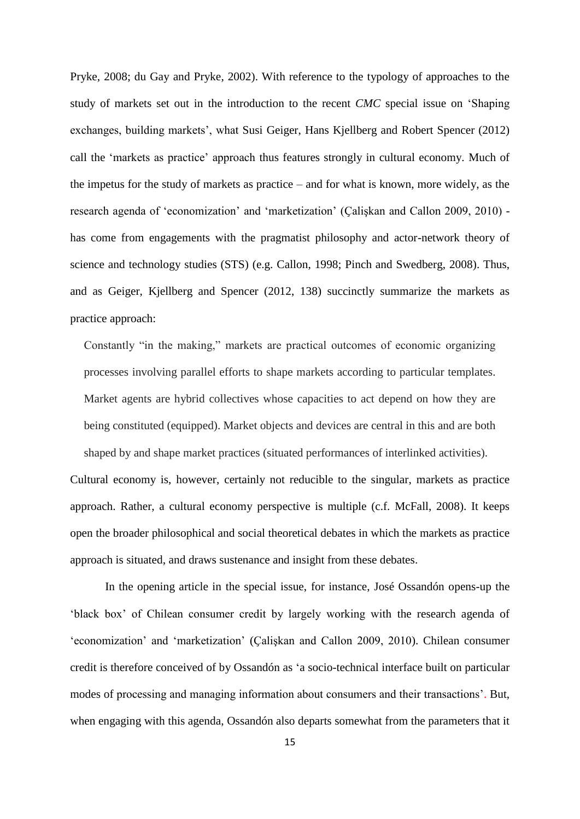Pryke, 2008; du Gay and Pryke, 2002). With reference to the typology of approaches to the study of markets set out in the introduction to the recent *CMC* special issue on 'Shaping exchanges, building markets', what Susi Geiger, Hans Kjellberg and Robert Spencer (2012) call the 'markets as practice' approach thus features strongly in cultural economy. Much of the impetus for the study of markets as practice – and for what is known, more widely, as the research agenda of 'economization' and 'marketization' (Ҫalişkan and Callon 2009, 2010) has come from engagements with the pragmatist philosophy and actor-network theory of science and technology studies (STS) (e.g. Callon, 1998; Pinch and Swedberg, 2008). Thus, and as Geiger, Kjellberg and Spencer (2012, 138) succinctly summarize the markets as practice approach:

Constantly "in the making," markets are practical outcomes of economic organizing processes involving parallel efforts to shape markets according to particular templates. Market agents are hybrid collectives whose capacities to act depend on how they are being constituted (equipped). Market objects and devices are central in this and are both shaped by and shape market practices (situated performances of interlinked activities). Cultural economy is, however, certainly not reducible to the singular, markets as practice approach. Rather, a cultural economy perspective is multiple (c.f. McFall, 2008). It keeps open the broader philosophical and social theoretical debates in which the markets as practice approach is situated, and draws sustenance and insight from these debates.

In the opening article in the special issue, for instance, José Ossandón opens-up the 'black box' of Chilean consumer credit by largely working with the research agenda of 'economization' and 'marketization' (Ҫalişkan and Callon 2009, 2010). Chilean consumer credit is therefore conceived of by Ossandón as 'a socio-technical interface built on particular modes of processing and managing information about consumers and their transactions'. But, when engaging with this agenda, Ossandón also departs somewhat from the parameters that it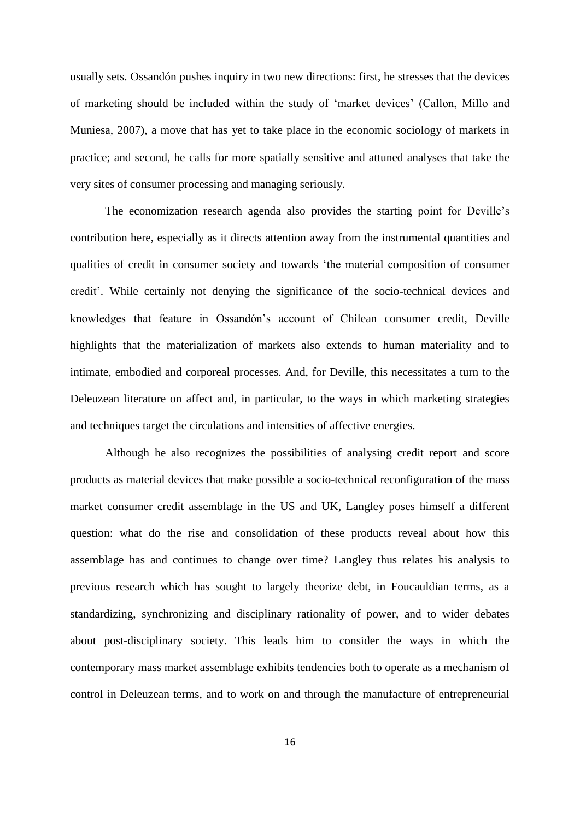usually sets. Ossandón pushes inquiry in two new directions: first, he stresses that the devices of marketing should be included within the study of 'market devices' (Callon, Millo and Muniesa, 2007), a move that has yet to take place in the economic sociology of markets in practice; and second, he calls for more spatially sensitive and attuned analyses that take the very sites of consumer processing and managing seriously.

The economization research agenda also provides the starting point for Deville's contribution here, especially as it directs attention away from the instrumental quantities and qualities of credit in consumer society and towards 'the material composition of consumer credit'. While certainly not denying the significance of the socio-technical devices and knowledges that feature in Ossandón's account of Chilean consumer credit, Deville highlights that the materialization of markets also extends to human materiality and to intimate, embodied and corporeal processes. And, for Deville, this necessitates a turn to the Deleuzean literature on affect and, in particular, to the ways in which marketing strategies and techniques target the circulations and intensities of affective energies.

Although he also recognizes the possibilities of analysing credit report and score products as material devices that make possible a socio-technical reconfiguration of the mass market consumer credit assemblage in the US and UK, Langley poses himself a different question: what do the rise and consolidation of these products reveal about how this assemblage has and continues to change over time? Langley thus relates his analysis to previous research which has sought to largely theorize debt, in Foucauldian terms, as a standardizing, synchronizing and disciplinary rationality of power, and to wider debates about post-disciplinary society. This leads him to consider the ways in which the contemporary mass market assemblage exhibits tendencies both to operate as a mechanism of control in Deleuzean terms, and to work on and through the manufacture of entrepreneurial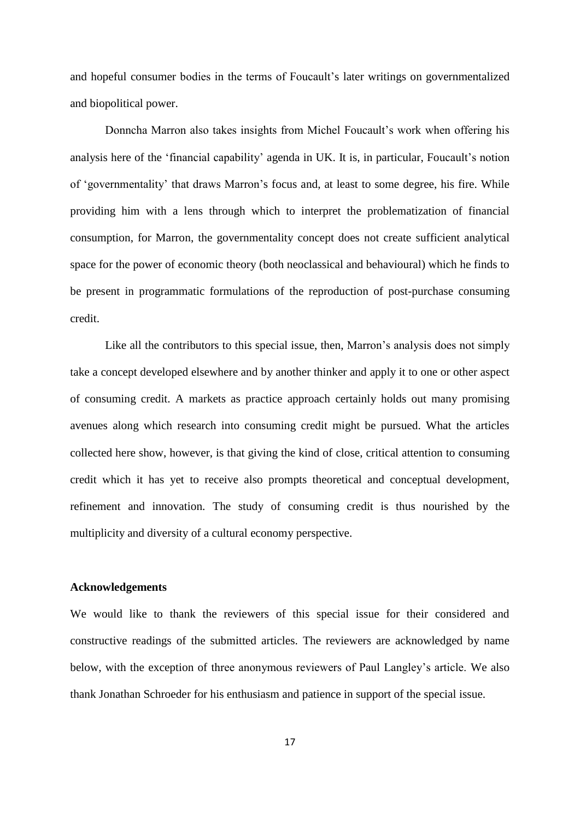and hopeful consumer bodies in the terms of Foucault's later writings on governmentalized and biopolitical power.

Donncha Marron also takes insights from Michel Foucault's work when offering his analysis here of the 'financial capability' agenda in UK. It is, in particular, Foucault's notion of 'governmentality' that draws Marron's focus and, at least to some degree, his fire. While providing him with a lens through which to interpret the problematization of financial consumption, for Marron, the governmentality concept does not create sufficient analytical space for the power of economic theory (both neoclassical and behavioural) which he finds to be present in programmatic formulations of the reproduction of post-purchase consuming credit.

Like all the contributors to this special issue, then, Marron's analysis does not simply take a concept developed elsewhere and by another thinker and apply it to one or other aspect of consuming credit. A markets as practice approach certainly holds out many promising avenues along which research into consuming credit might be pursued. What the articles collected here show, however, is that giving the kind of close, critical attention to consuming credit which it has yet to receive also prompts theoretical and conceptual development, refinement and innovation. The study of consuming credit is thus nourished by the multiplicity and diversity of a cultural economy perspective.

### **Acknowledgements**

We would like to thank the reviewers of this special issue for their considered and constructive readings of the submitted articles. The reviewers are acknowledged by name below, with the exception of three anonymous reviewers of Paul Langley's article. We also thank Jonathan Schroeder for his enthusiasm and patience in support of the special issue.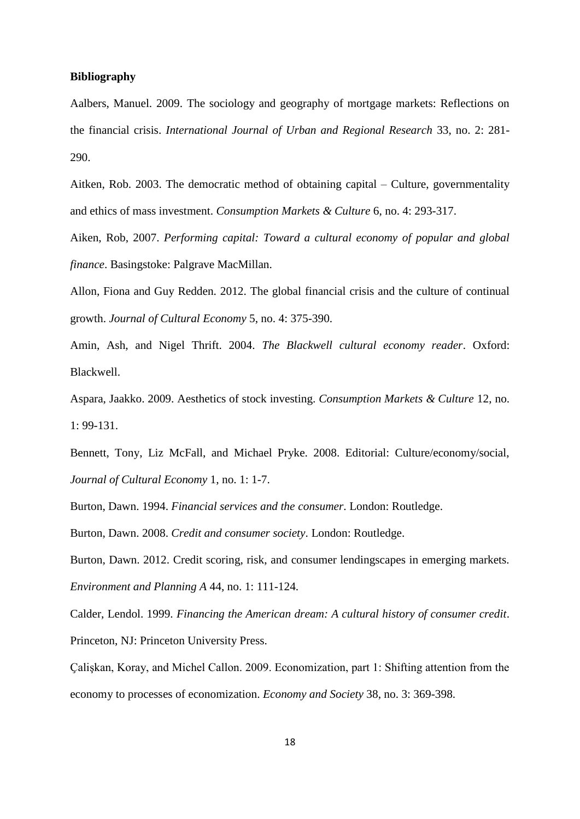### **Bibliography**

Aalbers, Manuel. 2009. The sociology and geography of mortgage markets: Reflections on the financial crisis. *International Journal of Urban and Regional Research* 33, no. 2: 281- 290.

Aitken, Rob. 2003. The democratic method of obtaining capital – Culture, governmentality and ethics of mass investment. *Consumption Markets & Culture* 6, no. 4: 293-317.

Aiken, Rob, 2007. *Performing capital: Toward a cultural economy of popular and global finance*. Basingstoke: Palgrave MacMillan.

Allon, Fiona and Guy Redden. 2012. The global financial crisis and the culture of continual growth. *Journal of Cultural Economy* 5, no. 4: 375-390.

Amin, Ash, and Nigel Thrift. 2004. *The Blackwell cultural economy reader*. Oxford: Blackwell.

Aspara, Jaakko. 2009. Aesthetics of stock investing. *Consumption Markets & Culture* 12, no. 1: 99-131.

Bennett, Tony, Liz McFall, and Michael Pryke. 2008. Editorial: Culture/economy/social, *Journal of Cultural Economy* 1, no. 1: 1-7.

Burton, Dawn. 1994. *Financial services and the consumer*. London: Routledge.

Burton, Dawn. 2008. *Credit and consumer society*. London: Routledge.

Burton, Dawn. 2012. Credit scoring, risk, and consumer lendingscapes in emerging markets. *Environment and Planning A* 44, no. 1: 111-124.

Calder, Lendol. 1999. *Financing the American dream: A cultural history of consumer credit*. Princeton, NJ: Princeton University Press.

Ҫalişkan, Koray, and Michel Callon. 2009. Economization, part 1: Shifting attention from the economy to processes of economization. *Economy and Society* 38, no. 3: 369-398.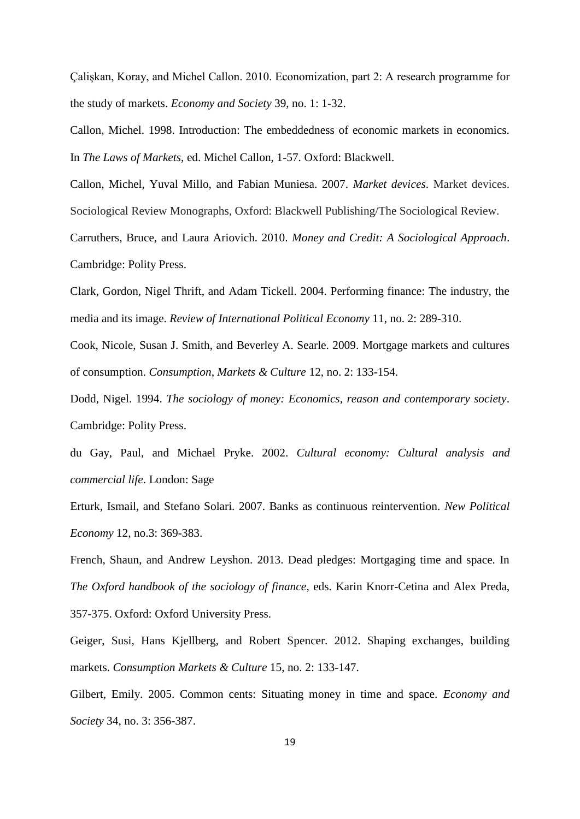Ҫalişkan, Koray, and Michel Callon. 2010. Economization, part 2: A research programme for the study of markets. *Economy and Society* 39, no. 1: 1-32.

Callon, Michel. 1998. Introduction: The embeddedness of economic markets in economics. In *The Laws of Markets*, ed. Michel Callon, 1-57. Oxford: Blackwell.

Callon, Michel, Yuval Millo, and Fabian Muniesa. 2007. *Market devices*. Market devices. Sociological Review Monographs, Oxford: Blackwell Publishing/The Sociological Review. Carruthers, Bruce, and Laura Ariovich. 2010. *Money and Credit: A Sociological Approach*. Cambridge: Polity Press.

Clark, Gordon, Nigel Thrift, and Adam Tickell. 2004. Performing finance: The industry, the media and its image. *Review of International Political Economy* 11, no. 2: 289-310.

Cook, Nicole, Susan J. Smith, and Beverley A. Searle. 2009. Mortgage markets and cultures of consumption. *Consumption, Markets & Culture* 12, no. 2: 133-154.

Dodd, Nigel. 1994. *The sociology of money: Economics, reason and contemporary society*. Cambridge: Polity Press.

du Gay, Paul, and Michael Pryke. 2002. *Cultural economy: Cultural analysis and commercial life*. London: Sage

Erturk, Ismail, and Stefano Solari. 2007. Banks as continuous reintervention. *New Political Economy* 12, no.3: 369-383.

French, Shaun, and Andrew Leyshon. 2013. Dead pledges: Mortgaging time and space. In *The Oxford handbook of the sociology of finance*, eds. Karin Knorr-Cetina and Alex Preda, 357-375. Oxford: Oxford University Press.

Geiger, Susi, Hans Kjellberg, and Robert Spencer. 2012. Shaping exchanges, building markets. *Consumption Markets & Culture* 15, no. 2: 133-147.

Gilbert, Emily. 2005. Common cents: Situating money in time and space. *Economy and Society* 34, no. 3: 356-387.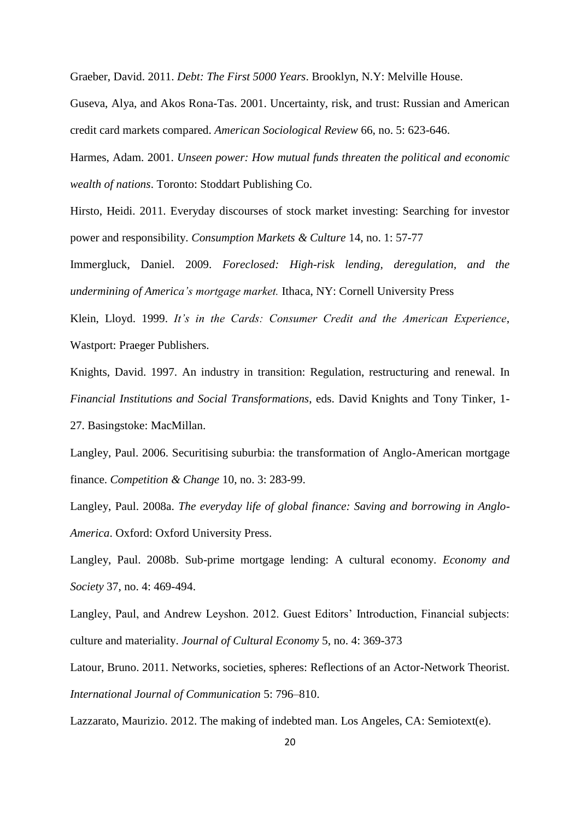Graeber, David. 2011. *Debt: The First 5000 Years*. Brooklyn, N.Y: Melville House.

Guseva, Alya, and Akos Rona-Tas. 2001. Uncertainty, risk, and trust: Russian and American credit card markets compared. *American Sociological Review* 66, no. 5: 623-646.

Harmes, Adam. 2001. *Unseen power: How mutual funds threaten the political and economic wealth of nations*. Toronto: Stoddart Publishing Co.

Hirsto, Heidi. 2011. Everyday discourses of stock market investing: Searching for investor power and responsibility. *Consumption Markets & Culture* 14, no. 1: 57-77

Immergluck, Daniel. 2009. *Foreclosed: High-risk lending, deregulation, and the undermining of America's mortgage market.* Ithaca, NY: Cornell University Press

Klein, Lloyd. 1999. *It's in the Cards: Consumer Credit and the American Experience*, Wastport: Praeger Publishers.

Knights, David. 1997. An industry in transition: Regulation, restructuring and renewal. In *Financial Institutions and Social Transformations*, eds. David Knights and Tony Tinker, 1- 27. Basingstoke: MacMillan.

Langley, Paul. 2006. Securitising suburbia: the transformation of Anglo-American mortgage finance. *Competition & Change* 10, no. 3: 283-99.

Langley, Paul. 2008a. *The everyday life of global finance: Saving and borrowing in Anglo-America*. Oxford: Oxford University Press.

Langley, Paul. 2008b. Sub-prime mortgage lending: A cultural economy. *Economy and Society* 37, no. 4: 469-494.

Langley, Paul, and Andrew Leyshon. 2012. Guest Editors' Introduction, Financial subjects: culture and materiality. *Journal of Cultural Economy* 5, no. 4: 369-373

Latour, Bruno. 2011. Networks, societies, spheres: Reflections of an Actor-Network Theorist. *International Journal of Communication* 5: 796–810.

Lazzarato, Maurizio. 2012. The making of indebted man. Los Angeles, CA: Semiotext(e).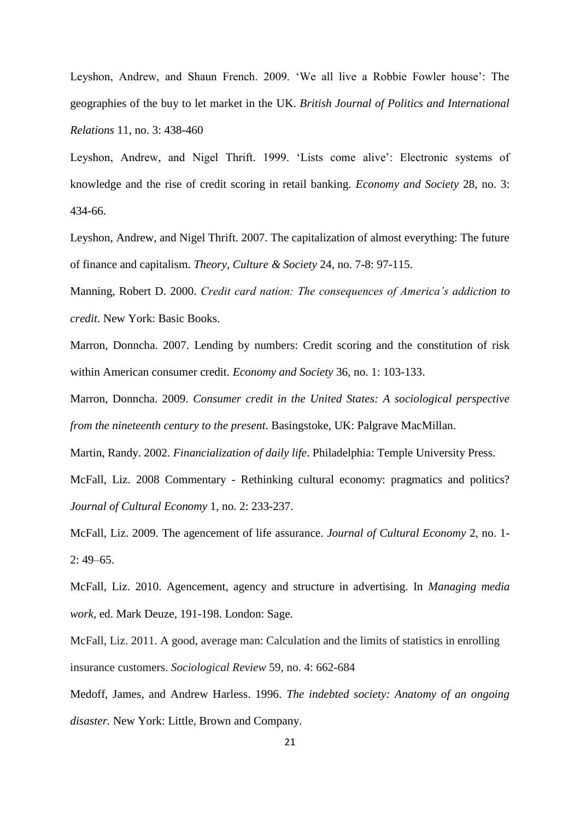Leyshon, Andrew, and Shaun French. 2009. 'We all live a Robbie Fowler house': The geographies of the buy to let market in the UK. *British Journal of Politics and International Relations* 11, no. 3: 438-460

Leyshon, Andrew, and Nigel Thrift. 1999. 'Lists come alive': Electronic systems of knowledge and the rise of credit scoring in retail banking. *Economy and Society* 28, no. 3: 434-66.

Leyshon, Andrew, and Nigel Thrift. 2007. The capitalization of almost everything: The future of finance and capitalism. *Theory, Culture & Society* 24, no. 7-8: 97-115.

Manning, Robert D. 2000. *Credit card nation: The consequences of America's addiction to credit*. New York: Basic Books.

Marron, Donncha. 2007. Lending by numbers: Credit scoring and the constitution of risk within American consumer credit. *Economy and Society* 36, no. 1: 103-133.

Marron, Donncha. 2009. *Consumer credit in the United States: A sociological perspective from the nineteenth century to the present*. Basingstoke, UK: Palgrave MacMillan.

Martin, Randy. 2002. *Financialization of daily life*. Philadelphia: Temple University Press.

McFall, Liz. 2008 Commentary - Rethinking cultural economy: pragmatics and politics? *Journal of Cultural Economy* 1, no. 2: 233-237.

McFall, Liz. 2009. The agencement of life assurance. *Journal of Cultural Economy* 2, no. 1-  $2: 49 - 65.$ 

McFall, Liz. 2010. Agencement, agency and structure in advertising. In *Managing media work,* ed. Mark Deuze, 191-198. London: Sage.

McFall, Liz. 2011. A good, average man: Calculation and the limits of statistics in enrolling insurance customers. *Sociological Review* 59, no. 4: 662-684

Medoff, James, and Andrew Harless. 1996. *The indebted society: Anatomy of an ongoing disaster.* New York: Little, Brown and Company.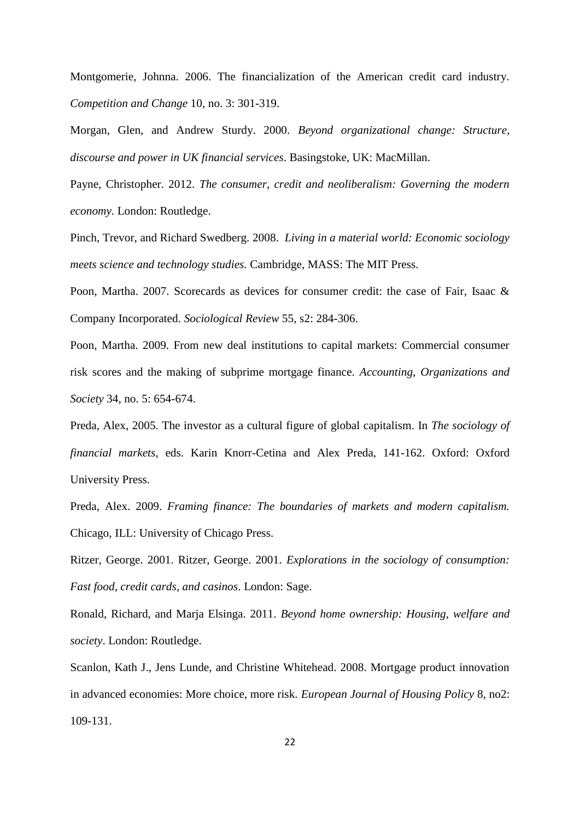Montgomerie, Johnna. 2006. The financialization of the American credit card industry. *Competition and Change* 10, no. 3: 301-319.

Morgan, Glen, and Andrew Sturdy. 2000. *Beyond organizational change: Structure, discourse and power in UK financial services*. Basingstoke, UK: MacMillan.

Payne, Christopher. 2012. *The consumer, credit and neoliberalism: Governing the modern economy*. London: Routledge.

Pinch, Trevor, and Richard Swedberg. 2008. *Living in a material world: Economic sociology meets science and technology studies.* Cambridge, MASS: The MIT Press.

Poon, Martha. 2007. Scorecards as devices for consumer credit: the case of Fair, Isaac & Company Incorporated. *Sociological Review* 55, s2: 284-306.

Poon, Martha. 2009. From new deal institutions to capital markets: Commercial consumer risk scores and the making of subprime mortgage finance. *Accounting, Organizations and Society* 34, no. 5: 654-674.

Preda, Alex, 2005. The investor as a cultural figure of global capitalism. In *The sociology of financial markets*, eds. Karin Knorr-Cetina and Alex Preda, 141-162. Oxford: Oxford University Press.

Preda, Alex. 2009. *Framing finance: The boundaries of markets and modern capitalism.*  Chicago, ILL: University of Chicago Press.

Ritzer, George. 2001. Ritzer, George. 2001. *Explorations in the sociology of consumption: Fast food, credit cards, and casinos*. London: Sage.

Ronald, Richard, and Marja Elsinga. 2011. *Beyond home ownership: Housing, welfare and society*. London: Routledge.

Scanlon, Kath J., Jens Lunde, and Christine Whitehead. 2008. Mortgage product innovation in advanced economies: More choice, more risk. *European Journal of Housing Policy* 8, no2: 109-131.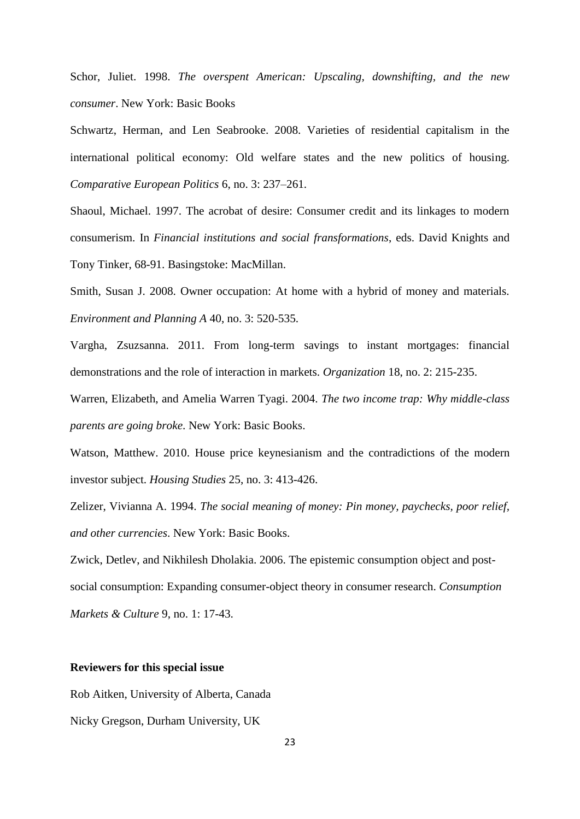Schor, Juliet. 1998. *The overspent American: Upscaling, downshifting, and the new consumer*. New York: Basic Books

Schwartz, Herman, and Len Seabrooke. 2008. Varieties of residential capitalism in the international political economy: Old welfare states and the new politics of housing. *Comparative European Politics* 6, no. 3: 237–261.

Shaoul, Michael. 1997. The acrobat of desire: Consumer credit and its linkages to modern consumerism. In *Financial institutions and social fransformations*, eds. David Knights and Tony Tinker, 68-91. Basingstoke: MacMillan.

Smith, Susan J. 2008. Owner occupation: At home with a hybrid of money and materials. *Environment and Planning A* 40, no. 3: 520-535.

Vargha, Zsuzsanna. 2011. From long-term savings to instant mortgages: financial demonstrations and the role of interaction in markets. *Organization* 18, no. 2: 215-235.

Warren, Elizabeth, and Amelia Warren Tyagi. 2004. *The two income trap: Why middle-class parents are going broke*. New York: Basic Books.

Watson, Matthew. 2010. House price keynesianism and the contradictions of the modern investor subject. *Housing Studies* 25, no. 3: 413-426.

Zelizer, Vivianna A. 1994. *The social meaning of money: Pin money, paychecks, poor relief, and other currencies*. New York: Basic Books.

Zwick, Detlev, and Nikhilesh Dholakia. 2006. The epistemic consumption object and postsocial consumption: Expanding consumer-object theory in consumer research. *Consumption Markets & Culture* 9, no. 1: 17-43.

### **Reviewers for this special issue**

Rob Aitken, University of Alberta, Canada

Nicky Gregson, Durham University, UK